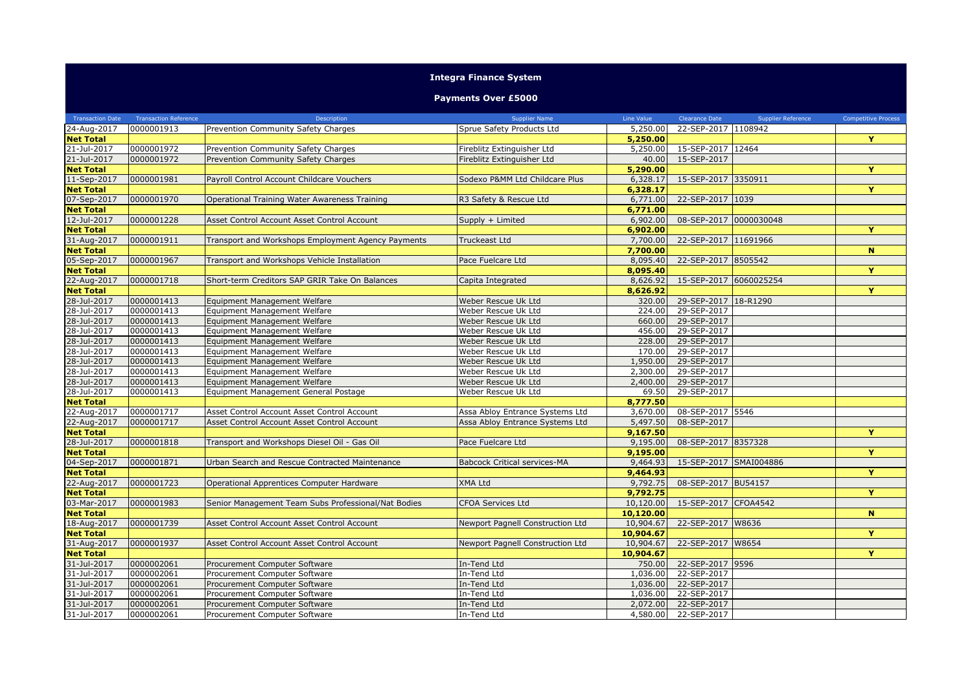## **Integra Finance System**

## **Payments Over £5000**

| <b>Transaction Date</b>    | <b>Transaction Reference</b> | Description                                         | <b>Supplier Name</b>                | Line Value | <b>Clearance Date</b>      | <b>Supplier Reference</b> | <b>Competitive Process</b> |
|----------------------------|------------------------------|-----------------------------------------------------|-------------------------------------|------------|----------------------------|---------------------------|----------------------------|
| 24-Aug-2017                | 0000001913                   | Prevention Community Safety Charges                 | Sprue Safety Products Ltd           | 5,250,00   | 22-SEP-2017 1108942        |                           |                            |
| <b>Net Total</b>           |                              |                                                     |                                     | 5,250.00   |                            |                           | Y                          |
| 21-Jul-2017                | 0000001972                   | Prevention Community Safety Charges                 | Fireblitz Extinguisher Ltd          | 5,250.00   | 15-SEP-2017 12464          |                           |                            |
| 21-Jul-2017                | 0000001972                   | Prevention Community Safety Charges                 | Fireblitz Extinguisher Ltd          | 40.00      | 15-SEP-2017                |                           |                            |
| <b>Net Total</b>           |                              |                                                     |                                     | 5,290.00   |                            |                           | Y                          |
| 11-Sep-2017                | 0000001981                   | Payroll Control Account Childcare Vouchers          | Sodexo P&MM Ltd Childcare Plus      | 6,328.17   | 15-SEP-2017 3350911        |                           |                            |
| <b>Net Total</b>           |                              |                                                     |                                     | 6,328.17   |                            |                           | Y                          |
| 07-Sep-2017                | 0000001970                   | Operational Training Water Awareness Training       | R3 Safety & Rescue Ltd              | 6,771.00   | 22-SEP-2017 1039           |                           |                            |
| <b>Net Total</b>           |                              |                                                     |                                     | 6,771.00   |                            |                           |                            |
| 12-Jul-2017                | 0000001228                   | Asset Control Account Asset Control Account         | Supply + Limited                    | 6,902.00   | 08-SEP-2017 0000030048     |                           |                            |
| <b>Net Total</b>           |                              |                                                     |                                     | 6,902.00   |                            |                           | Y                          |
| 31-Aug-2017                | 0000001911                   | Transport and Workshops Employment Agency Payments  | Truckeast Ltd                       | 7,700.00   | 22-SEP-2017 11691966       |                           |                            |
| <b>Net Total</b>           |                              |                                                     |                                     | 7,700.00   |                            |                           | $\mathbf N$                |
| 05-Sep-2017                | 0000001967                   | Transport and Workshops Vehicle Installation        | Pace Fuelcare Ltd                   | 8,095.40   | 22-SEP-2017 8505542        |                           |                            |
| <b>Net Total</b>           |                              |                                                     |                                     | 8,095.40   |                            |                           | Y                          |
| 22-Aug-2017                | 0000001718                   | Short-term Creditors SAP GRIR Take On Balances      | Capita Integrated                   | 8,626,92   | 15-SEP-2017 6060025254     |                           |                            |
| <b>Net Total</b>           |                              |                                                     |                                     | 8,626.92   |                            |                           | Y                          |
| 28-Jul-2017                | 0000001413                   |                                                     | Weber Rescue Uk Ltd                 | 320.00     | 29-SEP-2017 18-R1290       |                           |                            |
|                            |                              | Equipment Management Welfare                        |                                     | 224.00     |                            |                           |                            |
| 28-Jul-2017<br>28-Jul-2017 | 0000001413<br>0000001413     | Equipment Management Welfare                        | Weber Rescue Uk Ltd                 | 660.00     | 29-SEP-2017<br>29-SEP-2017 |                           |                            |
|                            |                              | Equipment Management Welfare                        | Weber Rescue Uk Ltd                 |            |                            |                           |                            |
| 28-Jul-2017                | 0000001413                   | Equipment Management Welfare                        | Weber Rescue Uk Ltd                 | 456.00     | 29-SEP-2017                |                           |                            |
| 28-Jul-2017                | 0000001413                   | Equipment Management Welfare                        | Weber Rescue Uk Ltd                 | 228.00     | 29-SEP-2017                |                           |                            |
| 28-Jul-2017                | 0000001413                   | Equipment Management Welfare                        | Weber Rescue Uk Ltd                 | 170.00     | 29-SEP-2017                |                           |                            |
| 28-Jul-2017                | 0000001413                   | Equipment Management Welfare                        | Weber Rescue Uk Ltd                 | 1,950.00   | 29-SEP-2017                |                           |                            |
| 28-Jul-2017                | 0000001413                   | Equipment Management Welfare                        | Weber Rescue Uk Ltd                 | 2,300.00   | 29-SEP-2017                |                           |                            |
| 28-Jul-2017                | 0000001413                   | Equipment Management Welfare                        | Weber Rescue Uk Ltd                 | 2,400.00   | 29-SEP-2017                |                           |                            |
| 28-Jul-2017                | 0000001413                   | Equipment Management General Postage                | Weber Rescue Uk Ltd                 | 69.50      | 29-SEP-2017                |                           |                            |
| <b>Net Total</b>           |                              |                                                     |                                     | 8,777.50   |                            |                           |                            |
| 22-Aug-2017                | 0000001717                   | Asset Control Account Asset Control Account         | Assa Abloy Entrance Systems Ltd     | 3,670.00   | 08-SEP-2017 5546           |                           |                            |
| 22-Aug-2017                | 0000001717                   | Asset Control Account Asset Control Account         | Assa Abloy Entrance Systems Ltd     | 5,497.50   | 08-SEP-2017                |                           |                            |
| <b>Net Total</b>           |                              |                                                     |                                     | 9,167.50   |                            |                           | Y                          |
| 28-Jul-2017                | 0000001818                   | Transport and Workshops Diesel Oil - Gas Oil        | Pace Fuelcare Ltd                   | 9,195.00   | 08-SEP-2017 8357328        |                           |                            |
| <b>Net Total</b>           |                              |                                                     |                                     | 9,195.00   |                            |                           | Y                          |
| 04-Sep-2017                | 0000001871                   | Urban Search and Rescue Contracted Maintenance      | <b>Babcock Critical services-MA</b> | 9,464.93   | 15-SEP-2017 SMAI004886     |                           |                            |
| <b>Net Total</b>           |                              |                                                     |                                     | 9,464.93   |                            |                           | Y                          |
| 22-Aug-2017                | 0000001723                   | Operational Apprentices Computer Hardware           | XMA Ltd                             | 9,792.75   | 08-SEP-2017 BU54157        |                           |                            |
| <b>Net Total</b>           |                              |                                                     |                                     | 9,792.75   |                            |                           | Y                          |
| 03-Mar-2017                | 0000001983                   | Senior Management Team Subs Professional/Nat Bodies | <b>CFOA Services Ltd</b>            | 10,120.00  | 15-SEP-2017 CFOA4542       |                           |                            |
| <b>Net Total</b>           |                              |                                                     |                                     | 10,120.00  |                            |                           | N                          |
| 18-Aug-2017                | 0000001739                   | Asset Control Account Asset Control Account         | Newport Pagnell Construction Ltd    | 10,904.67  | 22-SEP-2017   W8636        |                           |                            |
| <b>Net Total</b>           |                              |                                                     |                                     | 10,904.67  |                            |                           | Y                          |
| 31-Aug-2017                | 0000001937                   | Asset Control Account Asset Control Account         | Newport Pagnell Construction Ltd    | 10,904.67  | 22-SEP-2017 W8654          |                           |                            |
| <b>Net Total</b>           |                              |                                                     |                                     | 10,904.67  |                            |                           | Y                          |
| 31-Jul-2017                | 0000002061                   | Procurement Computer Software                       | In-Tend Ltd                         | 750.00     | 22-SEP-2017 9596           |                           |                            |
| 31-Jul-2017                | 0000002061                   | Procurement Computer Software                       | In-Tend Ltd                         | 1,036.00   | 22-SEP-2017                |                           |                            |
| 31-Jul-2017                | 0000002061                   | Procurement Computer Software                       | In-Tend Ltd                         | 1,036,00   | 22-SEP-2017                |                           |                            |
| 31-Jul-2017                | 0000002061                   | Procurement Computer Software                       | In-Tend Ltd                         | 1,036.00   | 22-SEP-2017                |                           |                            |
| 31-Jul-2017                | 0000002061                   | Procurement Computer Software                       | In-Tend Ltd                         | 2,072.00   | 22-SEP-2017                |                           |                            |
| 31-Jul-2017                | 0000002061                   | Procurement Computer Software                       | In-Tend Ltd                         | 4,580.00   | 22-SEP-2017                |                           |                            |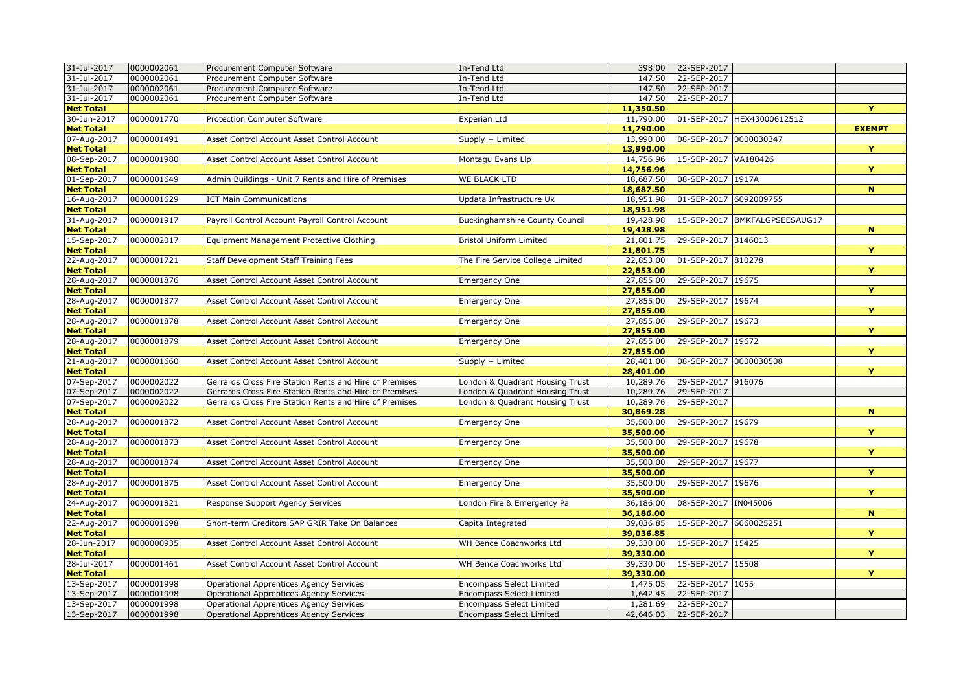| 31-Jul-2017      | 0000002061 | Procurement Computer Software                          | In-Tend Ltd                      | 398.00    | 22-SEP-2017            |                               |                         |
|------------------|------------|--------------------------------------------------------|----------------------------------|-----------|------------------------|-------------------------------|-------------------------|
| 31-Jul-2017      | 0000002061 | Procurement Computer Software                          | In-Tend Ltd                      | 147.50    | 22-SEP-2017            |                               |                         |
| 31-Jul-2017      | 0000002061 | Procurement Computer Software                          | In-Tend Ltd                      | 147.50    | 22-SEP-2017            |                               |                         |
| 31-Jul-2017      | 0000002061 | Procurement Computer Software                          | In-Tend Ltd                      | 147.50    | 22-SEP-2017            |                               |                         |
| <b>Net Total</b> |            |                                                        |                                  | 11,350.50 |                        |                               | Y                       |
| 30-Jun-2017      | 0000001770 | Protection Computer Software                           | Experian Ltd                     | 11,790.00 |                        | 01-SEP-2017 HEX43000612512    |                         |
| <b>Net Total</b> |            |                                                        |                                  | 11,790.00 |                        |                               | <b>EXEMPT</b>           |
| 07-Aug-2017      | 0000001491 | Asset Control Account Asset Control Account            | Supply + Limited                 | 13,990.00 | 08-SEP-2017 0000030347 |                               |                         |
| <b>Net Total</b> |            |                                                        |                                  | 13,990.00 |                        |                               | Y                       |
| 08-Sep-2017      | 0000001980 | Asset Control Account Asset Control Account            | Montagu Evans Llp                | 14,756.96 | 15-SEP-2017 VA180426   |                               |                         |
| <b>Net Total</b> |            |                                                        |                                  | 14,756.96 |                        |                               | $\overline{\mathbf{Y}}$ |
| 01-Sep-2017      | 0000001649 | Admin Buildings - Unit 7 Rents and Hire of Premises    | <b>WE BLACK LTD</b>              | 18,687.50 | 08-SEP-2017 1917A      |                               |                         |
| <b>Net Total</b> |            |                                                        |                                  | 18,687.50 |                        |                               | $\mathbf N$             |
| 16-Aug-2017      | 0000001629 | <b>ICT Main Communications</b>                         | Updata Infrastructure Uk         | 18,951.98 | 01-SEP-2017 6092009755 |                               |                         |
| <b>Net Total</b> |            |                                                        |                                  | 18,951.98 |                        |                               |                         |
| 31-Aug-2017      | 0000001917 | Payroll Control Account Payroll Control Account        | Buckinghamshire County Council   | 19,428.98 |                        | 15-SEP-2017 BMKFALGPSEESAUG17 |                         |
| <b>Net Total</b> |            |                                                        |                                  | 19,428.98 |                        |                               | N                       |
| 15-Sep-2017      | 0000002017 | Equipment Management Protective Clothing               | <b>Bristol Uniform Limited</b>   | 21,801.75 | 29-SEP-2017 3146013    |                               |                         |
| <b>Net Total</b> |            |                                                        |                                  | 21,801.75 |                        |                               | Y                       |
| 22-Aug-2017      | 0000001721 | <b>Staff Development Staff Training Fees</b>           | The Fire Service College Limited | 22,853.00 | 01-SEP-2017 810278     |                               |                         |
| <b>Net Total</b> |            |                                                        |                                  | 22,853.00 |                        |                               | Y                       |
|                  |            |                                                        |                                  | 27,855.00 |                        |                               |                         |
| 28-Aug-2017      | 0000001876 | Asset Control Account Asset Control Account            | <b>Emergency One</b>             |           | 29-SEP-2017 19675      |                               | Y                       |
| <b>Net Total</b> |            |                                                        |                                  | 27,855.00 |                        |                               |                         |
| 28-Aug-2017      | 0000001877 | Asset Control Account Asset Control Account            | <b>Emergency One</b>             | 27,855.00 | 29-SEP-2017 19674      |                               |                         |
| <b>Net Total</b> |            |                                                        |                                  | 27,855.00 |                        |                               | Y                       |
| 28-Aug-2017      | 0000001878 | Asset Control Account Asset Control Account            | <b>Emergency One</b>             | 27,855.00 | 29-SEP-2017 19673      |                               |                         |
| <b>Net Total</b> |            |                                                        |                                  | 27,855.00 |                        |                               | Y                       |
| 28-Aug-2017      | 0000001879 | Asset Control Account Asset Control Account            | <b>Emergency One</b>             | 27,855.00 | 29-SEP-2017 19672      |                               |                         |
| <b>Net Total</b> |            |                                                        |                                  | 27,855.00 |                        |                               | Y                       |
| 21-Aug-2017      | 0000001660 | Asset Control Account Asset Control Account            | Supply + Limited                 | 28,401.00 | 08-SEP-2017 0000030508 |                               |                         |
| <b>Net Total</b> |            |                                                        |                                  | 28,401.00 |                        |                               | Y                       |
| 07-Sep-2017      | 0000002022 | Gerrards Cross Fire Station Rents and Hire of Premises | London & Quadrant Housing Trust  | 10,289.76 | 29-SEP-2017 916076     |                               |                         |
| 07-Sep-2017      | 0000002022 | Gerrards Cross Fire Station Rents and Hire of Premises | London & Quadrant Housing Trust  | 10,289.76 | 29-SEP-2017            |                               |                         |
| 07-Sep-2017      | 0000002022 | Gerrards Cross Fire Station Rents and Hire of Premises | London & Quadrant Housing Trust  | 10,289.76 | 29-SEP-2017            |                               |                         |
| <b>Net Total</b> |            |                                                        |                                  | 30,869.28 |                        |                               | N                       |
| 28-Aug-2017      | 0000001872 | Asset Control Account Asset Control Account            | <b>Emergency One</b>             | 35,500.00 | 29-SEP-2017 19679      |                               |                         |
| <b>Net Total</b> |            |                                                        |                                  | 35,500.00 |                        |                               | Y                       |
| 28-Aug-2017      | 0000001873 | Asset Control Account Asset Control Account            | <b>Emergency One</b>             | 35,500.00 | 29-SEP-2017 19678      |                               |                         |
| <b>Net Total</b> |            |                                                        |                                  | 35,500.00 |                        |                               | Y                       |
| 28-Aug-2017      | 0000001874 | Asset Control Account Asset Control Account            | <b>Emergency One</b>             | 35,500.00 | 29-SEP-2017 19677      |                               |                         |
| <b>Net Total</b> |            |                                                        |                                  | 35,500.00 |                        |                               | Y                       |
| 28-Aug-2017      | 0000001875 | Asset Control Account Asset Control Account            | <b>Emergency One</b>             | 35,500.00 | 29-SEP-2017 19676      |                               |                         |
| <b>Net Total</b> |            |                                                        |                                  | 35,500.00 |                        |                               | Y                       |
| 24-Aug-2017      | 0000001821 | Response Support Agency Services                       | London Fire & Emergency Pa       | 36,186.00 | 08-SEP-2017 IN045006   |                               |                         |
| <b>Net Total</b> |            |                                                        |                                  | 36,186.00 |                        |                               | N.                      |
| 22-Aug-2017      | 0000001698 | Short-term Creditors SAP GRIR Take On Balances         | Capita Integrated                | 39,036.85 | 15-SEP-2017 6060025251 |                               |                         |
| <b>Net Total</b> |            |                                                        |                                  | 39,036.85 |                        |                               | Y                       |
| 28-Jun-2017      | 0000000935 | Asset Control Account Asset Control Account            | WH Bence Coachworks Ltd          | 39,330.00 | 15-SEP-2017 15425      |                               |                         |
| <b>Net Total</b> |            |                                                        |                                  | 39,330.00 |                        |                               | Y                       |
| 28-Jul-2017      | 0000001461 | Asset Control Account Asset Control Account            | WH Bence Coachworks Ltd          | 39,330.00 | 15-SEP-2017 15508      |                               |                         |
| <b>Net Total</b> |            |                                                        |                                  | 39,330.00 |                        |                               | Y                       |
| 13-Sep-2017      | 0000001998 | Operational Apprentices Agency Services                | <b>Encompass Select Limited</b>  | 1,475.05  | 22-SEP-2017 1055       |                               |                         |
| 13-Sep-2017      | 0000001998 | <b>Operational Apprentices Agency Services</b>         | <b>Encompass Select Limited</b>  | 1,642.45  | 22-SEP-2017            |                               |                         |
|                  | 0000001998 |                                                        |                                  | 1,281.69  | 22-SEP-2017            |                               |                         |
| 13-Sep-2017      |            | <b>Operational Apprentices Agency Services</b>         | <b>Encompass Select Limited</b>  |           |                        |                               |                         |
| 13-Sep-2017      | 0000001998 | Operational Apprentices Agency Services                | <b>Encompass Select Limited</b>  | 42,646.03 | 22-SEP-2017            |                               |                         |